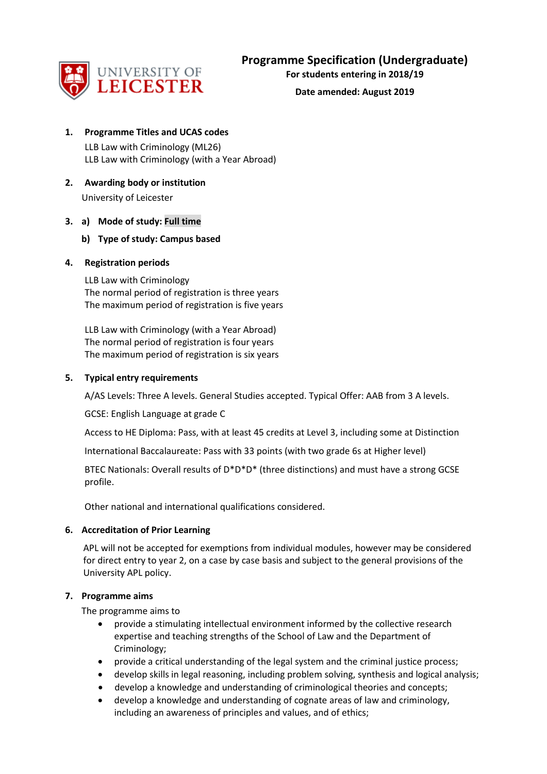

**For students entering in 2018/19**

**Date amended: August 2019**

# **1. Programme Titles and UCAS codes**

LLB Law with Criminology (ML26) LLB Law with Criminology (with a Year Abroad)

**2. Awarding body or institution** University of Leicester

# **3. a) Mode of study: Full time**

**b) Type of study: Campus based**

## **4. Registration periods**

LLB Law with Criminology The normal period of registration is three years The maximum period of registration is five years

LLB Law with Criminology (with a Year Abroad) The normal period of registration is four years The maximum period of registration is six years

## **5. Typical entry requirements**

A/AS Levels: Three A levels. General Studies accepted. Typical Offer: AAB from 3 A levels.

GCSE: English Language at grade C

Access to HE Diploma: Pass, with at least 45 credits at Level 3, including some at Distinction

International Baccalaureate: Pass with 33 points (with two grade 6s at Higher level)

BTEC Nationals: Overall results of D\*D\*D\* (three distinctions) and must have a strong GCSE profile.

Other national and international qualifications considered.

# **6. Accreditation of Prior Learning**

APL will not be accepted for exemptions from individual modules, however may be considered for direct entry to year 2, on a case by case basis and subject to the general provisions of the University APL policy.

## **7. Programme aims**

The programme aims to

- provide a stimulating intellectual environment informed by the collective research expertise and teaching strengths of the School of Law and the Department of Criminology;
- provide a critical understanding of the legal system and the criminal justice process;
- develop skills in legal reasoning, including problem solving, synthesis and logical analysis;
- develop a knowledge and understanding of criminological theories and concepts;
- develop a knowledge and understanding of cognate areas of law and criminology, including an awareness of principles and values, and of ethics;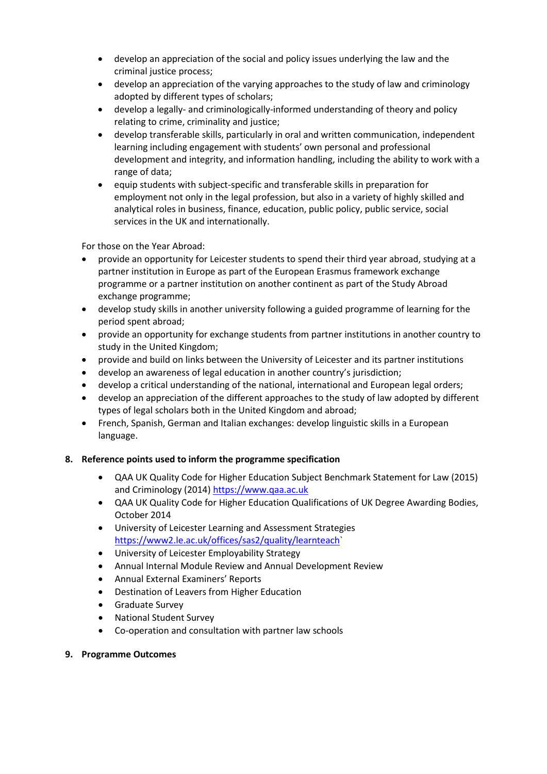- develop an appreciation of the social and policy issues underlying the law and the criminal justice process;
- develop an appreciation of the varying approaches to the study of law and criminology adopted by different types of scholars;
- develop a legally- and criminologically-informed understanding of theory and policy relating to crime, criminality and justice;
- develop transferable skills, particularly in oral and written communication, independent learning including engagement with students' own personal and professional development and integrity, and information handling, including the ability to work with a range of data;
- equip students with subject-specific and transferable skills in preparation for employment not only in the legal profession, but also in a variety of highly skilled and analytical roles in business, finance, education, public policy, public service, social services in the UK and internationally.

For those on the Year Abroad:

- provide an opportunity for Leicester students to spend their third year abroad, studying at a partner institution in Europe as part of the European Erasmus framework exchange programme or a partner institution on another continent as part of the Study Abroad exchange programme;
- develop study skills in another university following a guided programme of learning for the period spent abroad;
- provide an opportunity for exchange students from partner institutions in another country to study in the United Kingdom;
- provide and build on links between the University of Leicester and its partner institutions
- develop an awareness of legal education in another country's jurisdiction;
- develop a critical understanding of the national, international and European legal orders;
- develop an appreciation of the different approaches to the study of law adopted by different types of legal scholars both in the United Kingdom and abroad;
- French, Spanish, German and Italian exchanges: develop linguistic skills in a European language.

# **8. Reference points used to inform the programme specification**

- QAA UK Quality Code for Higher Education Subject Benchmark Statement for Law (2015) and Criminology (2014) [https://www.qaa.ac.uk](https://www.qaa.ac.uk/)
- QAA UK Quality Code for Higher Education Qualifications of UK Degree Awarding Bodies, October 2014
- University of Leicester Learning and Assessment Strategies [https://www2.le.ac.uk/offices/sas2/quality/learnteach`](https://www2.le.ac.uk/offices/sas2/quality/learnteach)
- University of Leicester Employability Strategy
- Annual Internal Module Review and Annual Development Review
- Annual External Examiners' Reports
- Destination of Leavers from Higher Education
- Graduate Survey
- National Student Survey
- Co-operation and consultation with partner law schools
- **9. Programme Outcomes**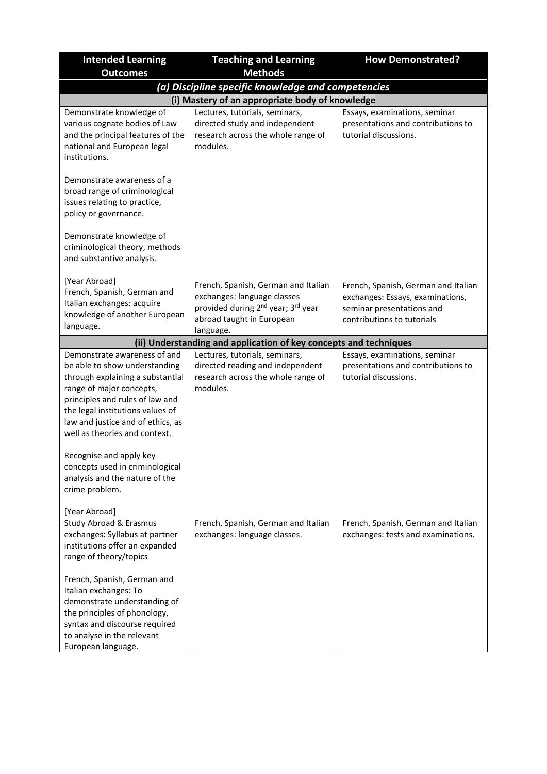| <b>Intended Learning</b>                                                                                                                                                                                                                                                   | <b>Teaching and Learning</b>                                                                                                                                               | <b>How Demonstrated?</b>                                                                                                           |  |  |  |
|----------------------------------------------------------------------------------------------------------------------------------------------------------------------------------------------------------------------------------------------------------------------------|----------------------------------------------------------------------------------------------------------------------------------------------------------------------------|------------------------------------------------------------------------------------------------------------------------------------|--|--|--|
| <b>Outcomes</b>                                                                                                                                                                                                                                                            | <b>Methods</b>                                                                                                                                                             |                                                                                                                                    |  |  |  |
|                                                                                                                                                                                                                                                                            | (a) Discipline specific knowledge and competencies                                                                                                                         |                                                                                                                                    |  |  |  |
|                                                                                                                                                                                                                                                                            | (i) Mastery of an appropriate body of knowledge                                                                                                                            |                                                                                                                                    |  |  |  |
| Demonstrate knowledge of<br>various cognate bodies of Law<br>and the principal features of the<br>national and European legal<br>institutions.                                                                                                                             | Lectures, tutorials, seminars,<br>directed study and independent<br>research across the whole range of<br>modules.                                                         | Essays, examinations, seminar<br>presentations and contributions to<br>tutorial discussions.                                       |  |  |  |
| Demonstrate awareness of a<br>broad range of criminological<br>issues relating to practice,<br>policy or governance.                                                                                                                                                       |                                                                                                                                                                            |                                                                                                                                    |  |  |  |
| Demonstrate knowledge of<br>criminological theory, methods<br>and substantive analysis.                                                                                                                                                                                    |                                                                                                                                                                            |                                                                                                                                    |  |  |  |
| [Year Abroad]<br>French, Spanish, German and<br>Italian exchanges: acquire<br>knowledge of another European<br>language.                                                                                                                                                   | French, Spanish, German and Italian<br>exchanges: language classes<br>provided during 2 <sup>nd</sup> year; 3 <sup>rd</sup> year<br>abroad taught in European<br>language. | French, Spanish, German and Italian<br>exchanges: Essays, examinations,<br>seminar presentations and<br>contributions to tutorials |  |  |  |
|                                                                                                                                                                                                                                                                            | (ii) Understanding and application of key concepts and techniques                                                                                                          |                                                                                                                                    |  |  |  |
| Demonstrate awareness of and<br>be able to show understanding<br>through explaining a substantial<br>range of major concepts,<br>principles and rules of law and<br>the legal institutions values of<br>law and justice and of ethics, as<br>well as theories and context. | Lectures, tutorials, seminars,<br>directed reading and independent<br>research across the whole range of<br>modules.                                                       | Essays, examinations, seminar<br>presentations and contributions to<br>tutorial discussions.                                       |  |  |  |
| Recognise and apply key<br>concepts used in criminological<br>analysis and the nature of the<br>crime problem.                                                                                                                                                             |                                                                                                                                                                            |                                                                                                                                    |  |  |  |
| [Year Abroad]<br><b>Study Abroad &amp; Erasmus</b><br>exchanges: Syllabus at partner<br>institutions offer an expanded<br>range of theory/topics                                                                                                                           | French, Spanish, German and Italian<br>exchanges: language classes.                                                                                                        | French, Spanish, German and Italian<br>exchanges: tests and examinations.                                                          |  |  |  |
| French, Spanish, German and<br>Italian exchanges: To<br>demonstrate understanding of<br>the principles of phonology,<br>syntax and discourse required<br>to analyse in the relevant<br>European language.                                                                  |                                                                                                                                                                            |                                                                                                                                    |  |  |  |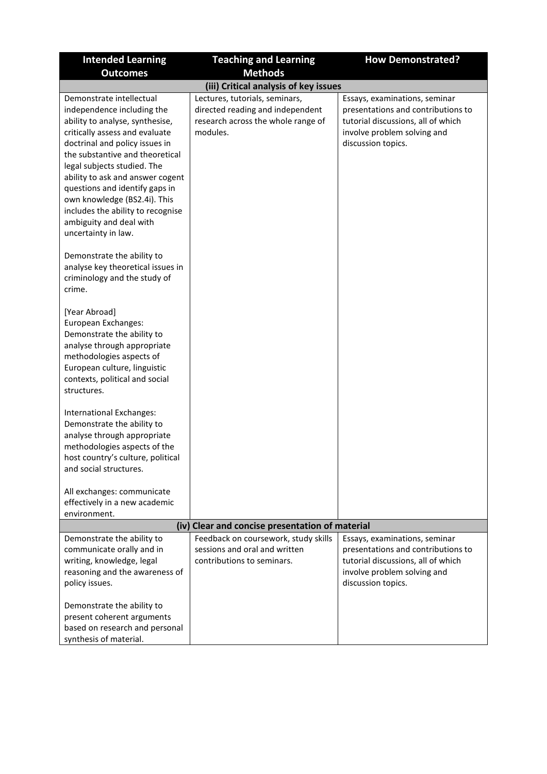| <b>Intended Learning</b>                                                                                                                                                                                                                                                                                                                                                                                                     | <b>Teaching and Learning</b>                                                                                         | <b>How Demonstrated?</b>                                                                                                                                       |  |
|------------------------------------------------------------------------------------------------------------------------------------------------------------------------------------------------------------------------------------------------------------------------------------------------------------------------------------------------------------------------------------------------------------------------------|----------------------------------------------------------------------------------------------------------------------|----------------------------------------------------------------------------------------------------------------------------------------------------------------|--|
| <b>Outcomes</b>                                                                                                                                                                                                                                                                                                                                                                                                              | <b>Methods</b>                                                                                                       |                                                                                                                                                                |  |
| (iii) Critical analysis of key issues                                                                                                                                                                                                                                                                                                                                                                                        |                                                                                                                      |                                                                                                                                                                |  |
| Demonstrate intellectual<br>independence including the<br>ability to analyse, synthesise,<br>critically assess and evaluate<br>doctrinal and policy issues in<br>the substantive and theoretical<br>legal subjects studied. The<br>ability to ask and answer cogent<br>questions and identify gaps in<br>own knowledge (BS2.4i). This<br>includes the ability to recognise<br>ambiguity and deal with<br>uncertainty in law. | Lectures, tutorials, seminars,<br>directed reading and independent<br>research across the whole range of<br>modules. | Essays, examinations, seminar<br>presentations and contributions to<br>tutorial discussions, all of which<br>involve problem solving and<br>discussion topics. |  |
| Demonstrate the ability to<br>analyse key theoretical issues in<br>criminology and the study of<br>crime.                                                                                                                                                                                                                                                                                                                    |                                                                                                                      |                                                                                                                                                                |  |
| [Year Abroad]<br>European Exchanges:<br>Demonstrate the ability to<br>analyse through appropriate<br>methodologies aspects of<br>European culture, linguistic<br>contexts, political and social<br>structures.                                                                                                                                                                                                               |                                                                                                                      |                                                                                                                                                                |  |
| International Exchanges:<br>Demonstrate the ability to<br>analyse through appropriate<br>methodologies aspects of the<br>host country's culture, political<br>and social structures.                                                                                                                                                                                                                                         |                                                                                                                      |                                                                                                                                                                |  |
| All exchanges: communicate                                                                                                                                                                                                                                                                                                                                                                                                   |                                                                                                                      |                                                                                                                                                                |  |
| effectively in a new academic<br>environment.                                                                                                                                                                                                                                                                                                                                                                                |                                                                                                                      |                                                                                                                                                                |  |
|                                                                                                                                                                                                                                                                                                                                                                                                                              | (iv) Clear and concise presentation of material                                                                      |                                                                                                                                                                |  |
| Demonstrate the ability to<br>communicate orally and in<br>writing, knowledge, legal<br>reasoning and the awareness of<br>policy issues.<br>Demonstrate the ability to                                                                                                                                                                                                                                                       | Feedback on coursework, study skills<br>sessions and oral and written<br>contributions to seminars.                  | Essays, examinations, seminar<br>presentations and contributions to<br>tutorial discussions, all of which<br>involve problem solving and<br>discussion topics. |  |
| present coherent arguments<br>based on research and personal<br>synthesis of material.                                                                                                                                                                                                                                                                                                                                       |                                                                                                                      |                                                                                                                                                                |  |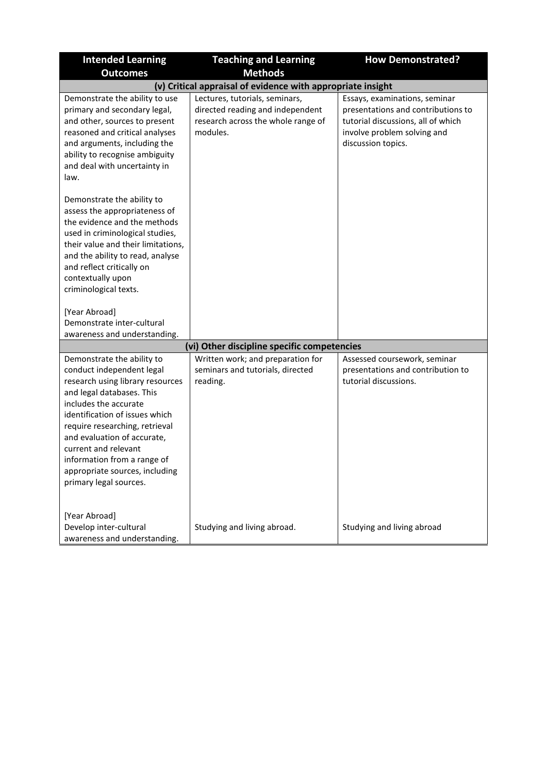| <b>Intended Learning</b>                                                                                                                                                                                                                                                                                                                                                | <b>Teaching and Learning</b>                                                                                         | <b>How Demonstrated?</b>                                                                                                                                       |  |  |
|-------------------------------------------------------------------------------------------------------------------------------------------------------------------------------------------------------------------------------------------------------------------------------------------------------------------------------------------------------------------------|----------------------------------------------------------------------------------------------------------------------|----------------------------------------------------------------------------------------------------------------------------------------------------------------|--|--|
| <b>Outcomes</b>                                                                                                                                                                                                                                                                                                                                                         | <b>Methods</b>                                                                                                       |                                                                                                                                                                |  |  |
| (v) Critical appraisal of evidence with appropriate insight                                                                                                                                                                                                                                                                                                             |                                                                                                                      |                                                                                                                                                                |  |  |
| Demonstrate the ability to use<br>primary and secondary legal,<br>and other, sources to present<br>reasoned and critical analyses<br>and arguments, including the<br>ability to recognise ambiguity<br>and deal with uncertainty in<br>law.                                                                                                                             | Lectures, tutorials, seminars,<br>directed reading and independent<br>research across the whole range of<br>modules. | Essays, examinations, seminar<br>presentations and contributions to<br>tutorial discussions, all of which<br>involve problem solving and<br>discussion topics. |  |  |
| Demonstrate the ability to<br>assess the appropriateness of<br>the evidence and the methods<br>used in criminological studies,<br>their value and their limitations,<br>and the ability to read, analyse<br>and reflect critically on<br>contextually upon<br>criminological texts.                                                                                     |                                                                                                                      |                                                                                                                                                                |  |  |
| [Year Abroad]<br>Demonstrate inter-cultural<br>awareness and understanding.                                                                                                                                                                                                                                                                                             |                                                                                                                      |                                                                                                                                                                |  |  |
|                                                                                                                                                                                                                                                                                                                                                                         | (vi) Other discipline specific competencies                                                                          |                                                                                                                                                                |  |  |
| Demonstrate the ability to<br>conduct independent legal<br>research using library resources<br>and legal databases. This<br>includes the accurate<br>identification of issues which<br>require researching, retrieval<br>and evaluation of accurate,<br>current and relevant<br>information from a range of<br>appropriate sources, including<br>primary legal sources. | Written work; and preparation for<br>seminars and tutorials, directed<br>reading.                                    | Assessed coursework, seminar<br>presentations and contribution to<br>tutorial discussions.                                                                     |  |  |
| [Year Abroad]<br>Develop inter-cultural<br>awareness and understanding.                                                                                                                                                                                                                                                                                                 | Studying and living abroad.                                                                                          | Studying and living abroad                                                                                                                                     |  |  |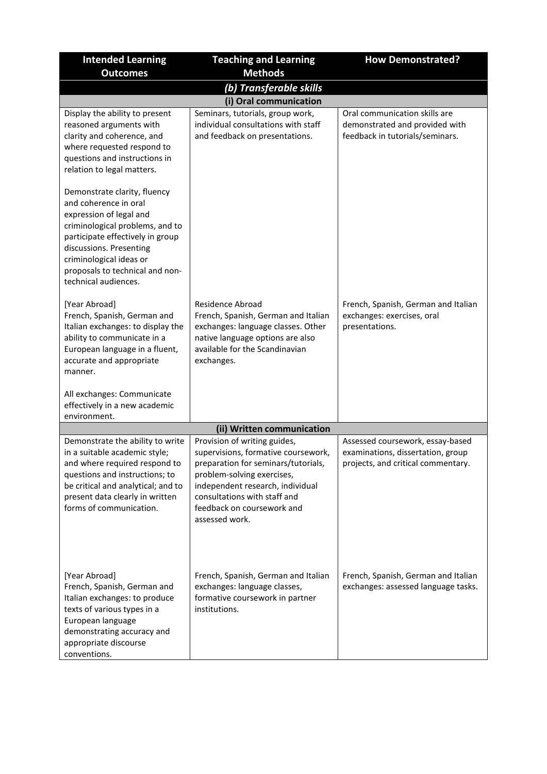| <b>Intended Learning</b>                                                                                                                                                                                                                                                 | <b>Teaching and Learning</b>                                                                                                                                                                                                                                 | <b>How Demonstrated?</b>                                                                                    |
|--------------------------------------------------------------------------------------------------------------------------------------------------------------------------------------------------------------------------------------------------------------------------|--------------------------------------------------------------------------------------------------------------------------------------------------------------------------------------------------------------------------------------------------------------|-------------------------------------------------------------------------------------------------------------|
| <b>Outcomes</b>                                                                                                                                                                                                                                                          | <b>Methods</b>                                                                                                                                                                                                                                               |                                                                                                             |
|                                                                                                                                                                                                                                                                          | (b) Transferable skills                                                                                                                                                                                                                                      |                                                                                                             |
|                                                                                                                                                                                                                                                                          | (i) Oral communication                                                                                                                                                                                                                                       |                                                                                                             |
| Display the ability to present<br>reasoned arguments with<br>clarity and coherence, and<br>where requested respond to<br>questions and instructions in<br>relation to legal matters.                                                                                     | Seminars, tutorials, group work,<br>individual consultations with staff<br>and feedback on presentations.                                                                                                                                                    | Oral communication skills are<br>demonstrated and provided with<br>feedback in tutorials/seminars.          |
| Demonstrate clarity, fluency<br>and coherence in oral<br>expression of legal and<br>criminological problems, and to<br>participate effectively in group<br>discussions. Presenting<br>criminological ideas or<br>proposals to technical and non-<br>technical audiences. |                                                                                                                                                                                                                                                              |                                                                                                             |
| [Year Abroad]<br>French, Spanish, German and<br>Italian exchanges: to display the<br>ability to communicate in a<br>European language in a fluent,<br>accurate and appropriate<br>manner.                                                                                | <b>Residence Abroad</b><br>French, Spanish, German and Italian<br>exchanges: language classes. Other<br>native language options are also<br>available for the Scandinavian<br>exchanges.                                                                     | French, Spanish, German and Italian<br>exchanges: exercises, oral<br>presentations.                         |
| All exchanges: Communicate<br>effectively in a new academic<br>environment.                                                                                                                                                                                              |                                                                                                                                                                                                                                                              |                                                                                                             |
|                                                                                                                                                                                                                                                                          | (ii) Written communication                                                                                                                                                                                                                                   |                                                                                                             |
| Demonstrate the ability to write<br>in a suitable academic style;<br>and where required respond to<br>questions and instructions; to<br>be critical and analytical; and to<br>present data clearly in written<br>forms of communication.                                 | Provision of writing guides,<br>supervisions, formative coursework,<br>preparation for seminars/tutorials,<br>problem-solving exercises,<br>independent research, individual<br>consultations with staff and<br>feedback on coursework and<br>assessed work. | Assessed coursework, essay-based<br>examinations, dissertation, group<br>projects, and critical commentary. |
| [Year Abroad]<br>French, Spanish, German and<br>Italian exchanges: to produce<br>texts of various types in a<br>European language<br>demonstrating accuracy and<br>appropriate discourse<br>conventions.                                                                 | French, Spanish, German and Italian<br>exchanges: language classes,<br>formative coursework in partner<br>institutions.                                                                                                                                      | French, Spanish, German and Italian<br>exchanges: assessed language tasks.                                  |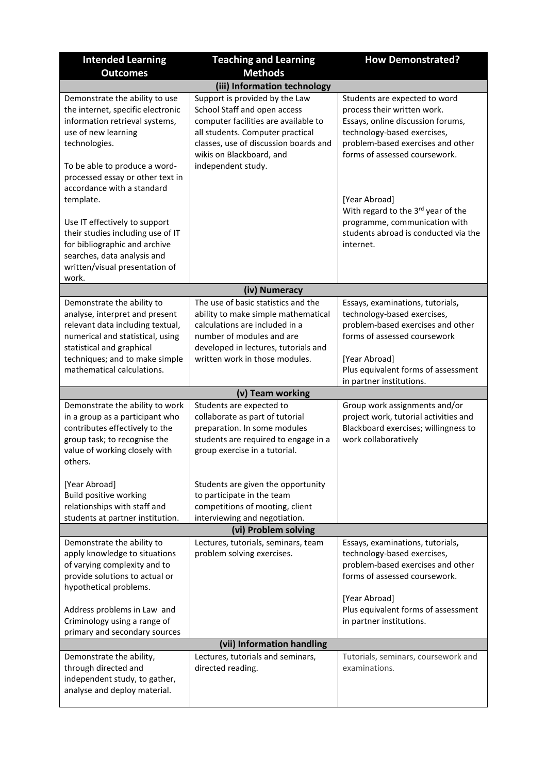| <b>Intended Learning</b>                                                                                                                                                                                                          | <b>Teaching and Learning</b>                                                                                                                                                                                        | <b>How Demonstrated?</b>                                                                                                                                                                               |
|-----------------------------------------------------------------------------------------------------------------------------------------------------------------------------------------------------------------------------------|---------------------------------------------------------------------------------------------------------------------------------------------------------------------------------------------------------------------|--------------------------------------------------------------------------------------------------------------------------------------------------------------------------------------------------------|
| <b>Outcomes</b>                                                                                                                                                                                                                   | <b>Methods</b>                                                                                                                                                                                                      |                                                                                                                                                                                                        |
|                                                                                                                                                                                                                                   | (iii) Information technology                                                                                                                                                                                        |                                                                                                                                                                                                        |
| Demonstrate the ability to use<br>the internet, specific electronic<br>information retrieval systems,<br>use of new learning<br>technologies.                                                                                     | Support is provided by the Law<br>School Staff and open access<br>computer facilities are available to<br>all students. Computer practical<br>classes, use of discussion boards and<br>wikis on Blackboard, and     | Students are expected to word<br>process their written work.<br>Essays, online discussion forums,<br>technology-based exercises,<br>problem-based exercises and other<br>forms of assessed coursework. |
| To be able to produce a word-<br>processed essay or other text in<br>accordance with a standard<br>template.                                                                                                                      | independent study.                                                                                                                                                                                                  | [Year Abroad]<br>With regard to the 3rd year of the                                                                                                                                                    |
| Use IT effectively to support<br>their studies including use of IT<br>for bibliographic and archive<br>searches, data analysis and<br>written/visual presentation of<br>work.                                                     |                                                                                                                                                                                                                     | programme, communication with<br>students abroad is conducted via the<br>internet.                                                                                                                     |
|                                                                                                                                                                                                                                   | (iv) Numeracy                                                                                                                                                                                                       |                                                                                                                                                                                                        |
| Demonstrate the ability to<br>analyse, interpret and present<br>relevant data including textual,<br>numerical and statistical, using<br>statistical and graphical<br>techniques; and to make simple<br>mathematical calculations. | The use of basic statistics and the<br>ability to make simple mathematical<br>calculations are included in a<br>number of modules and are<br>developed in lectures, tutorials and<br>written work in those modules. | Essays, examinations, tutorials,<br>technology-based exercises,<br>problem-based exercises and other<br>forms of assessed coursework<br>[Year Abroad]<br>Plus equivalent forms of assessment           |
|                                                                                                                                                                                                                                   | (v) Team working                                                                                                                                                                                                    | in partner institutions.                                                                                                                                                                               |
| Demonstrate the ability to work<br>in a group as a participant who<br>contributes effectively to the<br>group task; to recognise the<br>value of working closely with<br>others.                                                  | Students are expected to<br>collaborate as part of tutorial<br>preparation. In some modules<br>students are required to engage in a<br>group exercise in a tutorial.                                                | Group work assignments and/or<br>project work, tutorial activities and<br>Blackboard exercises; willingness to<br>work collaboratively                                                                 |
| [Year Abroad]<br><b>Build positive working</b><br>relationships with staff and<br>students at partner institution.                                                                                                                | Students are given the opportunity<br>to participate in the team<br>competitions of mooting, client<br>interviewing and negotiation.                                                                                |                                                                                                                                                                                                        |
|                                                                                                                                                                                                                                   | (vi) Problem solving                                                                                                                                                                                                |                                                                                                                                                                                                        |
| Demonstrate the ability to<br>apply knowledge to situations<br>of varying complexity and to<br>provide solutions to actual or<br>hypothetical problems.                                                                           | Lectures, tutorials, seminars, team<br>problem solving exercises.                                                                                                                                                   | Essays, examinations, tutorials,<br>technology-based exercises,<br>problem-based exercises and other<br>forms of assessed coursework.<br>[Year Abroad]                                                 |
| Address problems in Law and<br>Criminology using a range of<br>primary and secondary sources                                                                                                                                      |                                                                                                                                                                                                                     | Plus equivalent forms of assessment<br>in partner institutions.                                                                                                                                        |
|                                                                                                                                                                                                                                   | (vii) Information handling                                                                                                                                                                                          |                                                                                                                                                                                                        |
| Demonstrate the ability,<br>through directed and<br>independent study, to gather,<br>analyse and deploy material.                                                                                                                 | Lectures, tutorials and seminars,<br>directed reading.                                                                                                                                                              | Tutorials, seminars, coursework and<br>examinations.                                                                                                                                                   |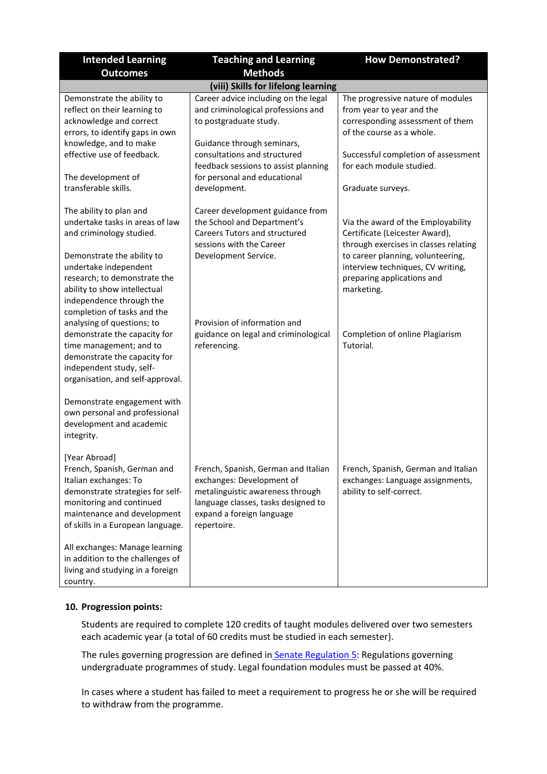| <b>Intended Learning</b>                                                                                                                                                                                                                         | <b>Teaching and Learning</b>                                                                                                                                                            | <b>How Demonstrated?</b>                                                                                                                                                                                                            |  |
|--------------------------------------------------------------------------------------------------------------------------------------------------------------------------------------------------------------------------------------------------|-----------------------------------------------------------------------------------------------------------------------------------------------------------------------------------------|-------------------------------------------------------------------------------------------------------------------------------------------------------------------------------------------------------------------------------------|--|
| <b>Outcomes</b>                                                                                                                                                                                                                                  | <b>Methods</b>                                                                                                                                                                          |                                                                                                                                                                                                                                     |  |
| (viii) Skills for lifelong learning                                                                                                                                                                                                              |                                                                                                                                                                                         |                                                                                                                                                                                                                                     |  |
| Demonstrate the ability to<br>reflect on their learning to<br>acknowledge and correct<br>errors, to identify gaps in own<br>knowledge, and to make                                                                                               | Career advice including on the legal<br>and criminological professions and<br>to postgraduate study.<br>Guidance through seminars,                                                      | The progressive nature of modules<br>from year to year and the<br>corresponding assessment of them<br>of the course as a whole.                                                                                                     |  |
| effective use of feedback.                                                                                                                                                                                                                       | consultations and structured<br>feedback sessions to assist planning                                                                                                                    | Successful completion of assessment<br>for each module studied.                                                                                                                                                                     |  |
| The development of<br>transferable skills.                                                                                                                                                                                                       | for personal and educational<br>development.                                                                                                                                            | Graduate surveys.                                                                                                                                                                                                                   |  |
| The ability to plan and<br>undertake tasks in areas of law<br>and criminology studied.<br>Demonstrate the ability to<br>undertake independent<br>research; to demonstrate the<br>ability to show intellectual                                    | Career development guidance from<br>the School and Department's<br><b>Careers Tutors and structured</b><br>sessions with the Career<br>Development Service.                             | Via the award of the Employability<br>Certificate (Leicester Award),<br>through exercises in classes relating<br>to career planning, volunteering,<br>interview techniques, CV writing,<br>preparing applications and<br>marketing. |  |
| independence through the<br>completion of tasks and the<br>analysing of questions; to<br>demonstrate the capacity for<br>time management; and to<br>demonstrate the capacity for<br>independent study, self-<br>organisation, and self-approval. | Provision of information and<br>guidance on legal and criminological<br>referencing.                                                                                                    | Completion of online Plagiarism<br>Tutorial.                                                                                                                                                                                        |  |
| Demonstrate engagement with<br>own personal and professional<br>development and academic<br>integrity.                                                                                                                                           |                                                                                                                                                                                         |                                                                                                                                                                                                                                     |  |
| [Year Abroad]<br>French, Spanish, German and<br>Italian exchanges: To<br>demonstrate strategies for self-<br>monitoring and continued<br>maintenance and development<br>of skills in a European language.                                        | French, Spanish, German and Italian<br>exchanges: Development of<br>metalinguistic awareness through<br>language classes, tasks designed to<br>expand a foreign language<br>repertoire. | French, Spanish, German and Italian<br>exchanges: Language assignments,<br>ability to self-correct.                                                                                                                                 |  |
| All exchanges: Manage learning<br>in addition to the challenges of<br>living and studying in a foreign<br>country.                                                                                                                               |                                                                                                                                                                                         |                                                                                                                                                                                                                                     |  |

## **10. Progression points:**

Students are required to complete 120 credits of taught modules delivered over two semesters each academic year (a total of 60 credits must be studied in each semester).

The rules governing progression are defined in [Senate Regulation 5:](https://www2.le.ac.uk/offices/sas2/regulations/documents/senatereg5-undergraduates) Regulations governing undergraduate programmes of study. Legal foundation modules must be passed at 40%.

In cases where a student has failed to meet a requirement to progress he or she will be required to withdraw from the programme.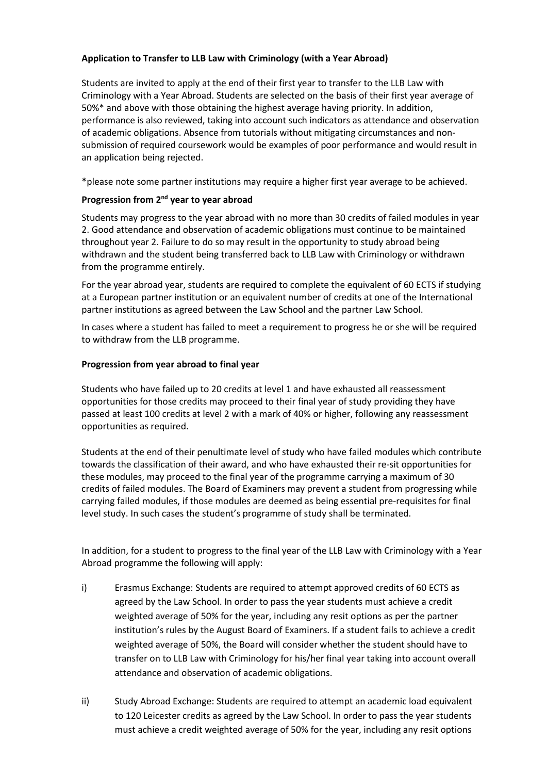# **Application to Transfer to LLB Law with Criminology (with a Year Abroad)**

Students are invited to apply at the end of their first year to transfer to the LLB Law with Criminology with a Year Abroad. Students are selected on the basis of their first year average of 50%\* and above with those obtaining the highest average having priority. In addition, performance is also reviewed, taking into account such indicators as attendance and observation of academic obligations. Absence from tutorials without mitigating circumstances and nonsubmission of required coursework would be examples of poor performance and would result in an application being rejected.

\*please note some partner institutions may require a higher first year average to be achieved.

## **Progression from 2nd year to year abroad**

Students may progress to the year abroad with no more than 30 credits of failed modules in year 2. Good attendance and observation of academic obligations must continue to be maintained throughout year 2. Failure to do so may result in the opportunity to study abroad being withdrawn and the student being transferred back to LLB Law with Criminology or withdrawn from the programme entirely.

For the year abroad year, students are required to complete the equivalent of 60 ECTS if studying at a European partner institution or an equivalent number of credits at one of the International partner institutions as agreed between the Law School and the partner Law School.

In cases where a student has failed to meet a requirement to progress he or she will be required to withdraw from the LLB programme.

## **Progression from year abroad to final year**

Students who have failed up to 20 credits at level 1 and have exhausted all reassessment opportunities for those credits may proceed to their final year of study providing they have passed at least 100 credits at level 2 with a mark of 40% or higher, following any reassessment opportunities as required.

Students at the end of their penultimate level of study who have failed modules which contribute towards the classification of their award, and who have exhausted their re-sit opportunities for these modules, may proceed to the final year of the programme carrying a maximum of 30 credits of failed modules. The Board of Examiners may prevent a student from progressing while carrying failed modules, if those modules are deemed as being essential pre-requisites for final level study. In such cases the student's programme of study shall be terminated.

In addition, for a student to progress to the final year of the LLB Law with Criminology with a Year Abroad programme the following will apply:

- i) Erasmus Exchange: Students are required to attempt approved credits of 60 ECTS as agreed by the Law School. In order to pass the year students must achieve a credit weighted average of 50% for the year, including any resit options as per the partner institution's rules by the August Board of Examiners. If a student fails to achieve a credit weighted average of 50%, the Board will consider whether the student should have to transfer on to LLB Law with Criminology for his/her final year taking into account overall attendance and observation of academic obligations.
- ii) Study Abroad Exchange: Students are required to attempt an academic load equivalent to 120 Leicester credits as agreed by the Law School. In order to pass the year students must achieve a credit weighted average of 50% for the year, including any resit options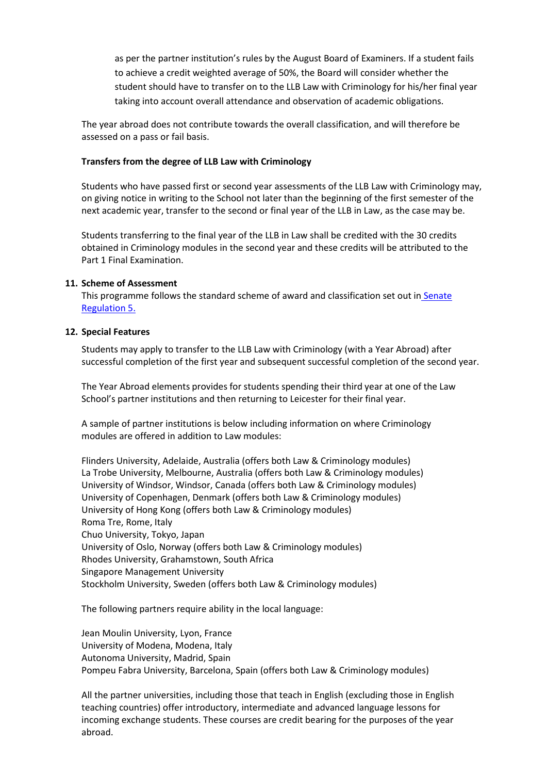as per the partner institution's rules by the August Board of Examiners. If a student fails to achieve a credit weighted average of 50%, the Board will consider whether the student should have to transfer on to the LLB Law with Criminology for his/her final year taking into account overall attendance and observation of academic obligations.

The year abroad does not contribute towards the overall classification, and will therefore be assessed on a pass or fail basis.

#### **Transfers from the degree of LLB Law with Criminology**

Students who have passed first or second year assessments of the LLB Law with Criminology may, on giving notice in writing to the School not later than the beginning of the first semester of the next academic year, transfer to the second or final year of the LLB in Law, as the case may be.

Students transferring to the final year of the LLB in Law shall be credited with the 30 credits obtained in Criminology modules in the second year and these credits will be attributed to the Part 1 Final Examination.

#### **11. Scheme of Assessment**

This programme follows the standard scheme of award and classification set out in Senate [Regulation 5.](https://www2.le.ac.uk/offices/sas2/regulations/documents/senatereg5-undergraduates)

#### **12. Special Features**

Students may apply to transfer to the LLB Law with Criminology (with a Year Abroad) after successful completion of the first year and subsequent successful completion of the second year.

The Year Abroad elements provides for students spending their third year at one of the Law School's partner institutions and then returning to Leicester for their final year.

A sample of partner institutions is below including information on where Criminology modules are offered in addition to Law modules:

Flinders University, Adelaide, Australia (offers both Law & Criminology modules) La Trobe University, Melbourne, Australia (offers both Law & Criminology modules) University of Windsor, Windsor, Canada (offers both Law & Criminology modules) University of Copenhagen, Denmark (offers both Law & Criminology modules) University of Hong Kong (offers both Law & Criminology modules) Roma Tre, Rome, Italy Chuo University, Tokyo, Japan University of Oslo, Norway (offers both Law & Criminology modules) Rhodes University, Grahamstown, South Africa Singapore Management University Stockholm University, Sweden (offers both Law & Criminology modules)

The following partners require ability in the local language:

Jean Moulin University, Lyon, France University of Modena, Modena, Italy Autonoma University, Madrid, Spain Pompeu Fabra University, Barcelona, Spain (offers both Law & Criminology modules)

All the partner universities, including those that teach in English (excluding those in English teaching countries) offer introductory, intermediate and advanced language lessons for incoming exchange students. These courses are credit bearing for the purposes of the year abroad.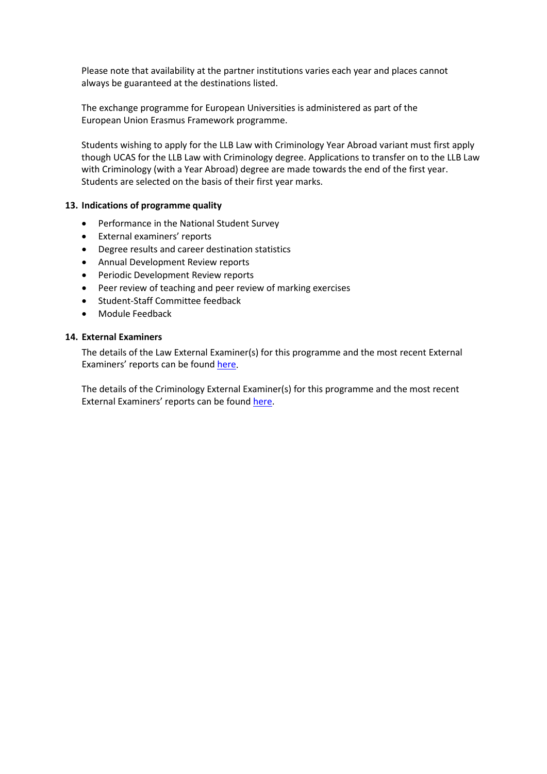Please note that availability at the partner institutions varies each year and places cannot always be guaranteed at the destinations listed.

The exchange programme for European Universities is administered as part of the European Union Erasmus Framework programme.

Students wishing to apply for the LLB Law with Criminology Year Abroad variant must first apply though UCAS for the LLB Law with Criminology degree. Applications to transfer on to the LLB Law with Criminology (with a Year Abroad) degree are made towards the end of the first year. Students are selected on the basis of their first year marks.

## **13. Indications of programme quality**

- Performance in the National Student Survey
- External examiners' reports
- Degree results and career destination statistics
- Annual Development Review reports
- Periodic Development Review reports
- Peer review of teaching and peer review of marking exercises
- Student-Staff Committee feedback
- Module Feedback

## **14. External Examiners**

The details of the Law External Examiner(s) for this programme and the most recent External Examiners' reports can be found [here.](https://exampapers.le.ac.uk/xmlui/handle/123456789/8)

The details of the Criminology External Examiner(s) for this programme and the most recent External Examiners' reports can be foun[d here.](https://exampapers.le.ac.uk/xmlui/handle/123456789/182)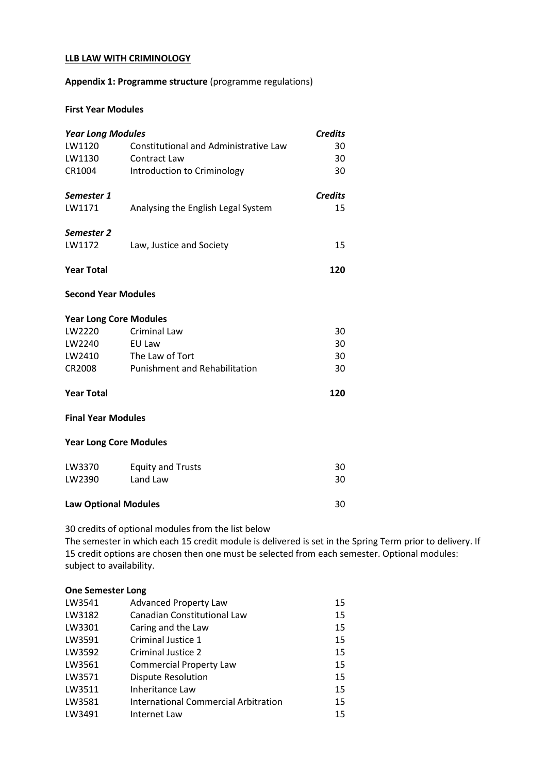#### **LLB LAW WITH CRIMINOLOGY**

## **Appendix 1: Programme structure** (programme regulations)

#### **First Year Modules**

| <b>Year Long Modules</b>      |                                       | <b>Credits</b> |
|-------------------------------|---------------------------------------|----------------|
| LW1120                        | Constitutional and Administrative Law | 30             |
| LW1130                        | Contract Law                          | 30             |
| CR1004                        | Introduction to Criminology           | 30             |
| Semester 1                    |                                       | <b>Credits</b> |
| LW1171                        | Analysing the English Legal System    | 15             |
| Semester 2                    |                                       |                |
| LW1172                        | Law, Justice and Society              | 15             |
| <b>Year Total</b>             |                                       | 120            |
| <b>Second Year Modules</b>    |                                       |                |
| <b>Year Long Core Modules</b> |                                       |                |
| LW2220                        | <b>Criminal Law</b>                   | 30             |
| LW2240                        | EU Law                                | 30             |
| LW2410                        | The Law of Tort                       | 30             |
| CR2008                        | Punishment and Rehabilitation         | 30             |
| <b>Year Total</b>             |                                       | 120            |
| <b>Final Year Modules</b>     |                                       |                |
| <b>Year Long Core Modules</b> |                                       |                |
| LW3370                        | <b>Equity and Trusts</b>              | 30             |
| LW2390                        | Land Law                              | 30             |
| <b>Law Optional Modules</b>   |                                       | 30             |

30 credits of optional modules from the list below

The semester in which each 15 credit module is delivered is set in the Spring Term prior to delivery. If 15 credit options are chosen then one must be selected from each semester. Optional modules: subject to availability.

#### **One Semester Long**

| LW3541 | <b>Advanced Property Law</b>         | 15 |
|--------|--------------------------------------|----|
| LW3182 | Canadian Constitutional Law          | 15 |
| LW3301 | Caring and the Law                   | 15 |
| LW3591 | Criminal Justice 1                   | 15 |
| LW3592 | Criminal Justice 2                   | 15 |
| LW3561 | <b>Commercial Property Law</b>       | 15 |
| LW3571 | <b>Dispute Resolution</b>            | 15 |
| LW3511 | Inheritance Law                      | 15 |
| LW3581 | International Commercial Arbitration | 15 |
| LW3491 | Internet Law                         | 15 |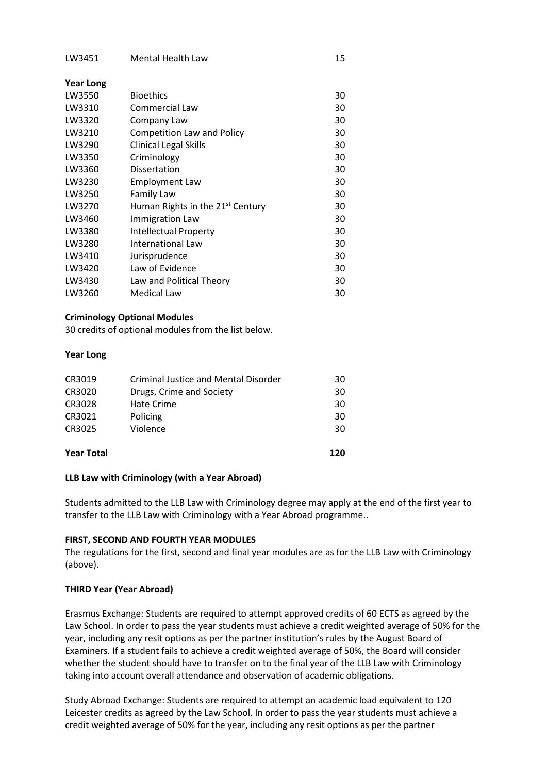| <b>Bioethics</b>                             | 30 |
|----------------------------------------------|----|
| Commercial Law                               | 30 |
| Company Law                                  | 30 |
| Competition Law and Policy                   | 30 |
| <b>Clinical Legal Skills</b>                 | 30 |
| Criminology                                  | 30 |
| Dissertation                                 | 30 |
| <b>Employment Law</b>                        | 30 |
| <b>Family Law</b>                            | 30 |
| Human Rights in the 21 <sup>st</sup> Century | 30 |
| Immigration Law                              | 30 |
| <b>Intellectual Property</b>                 | 30 |
| <b>International Law</b>                     | 30 |
| Jurisprudence                                | 30 |
| Law of Evidence                              | 30 |
| Law and Political Theory                     | 30 |
| Medical Law                                  | 30 |
|                                              |    |

#### **Criminology Optional Modules**

30 credits of optional modules from the list below.

#### **Year Long**

| CR3019            | Criminal Justice and Mental Disorder | 30  |
|-------------------|--------------------------------------|-----|
| CR3020            | Drugs, Crime and Society             | 30  |
| CR3028            | Hate Crime                           | 30  |
| CR3021            | Policing                             | 30  |
| CR3025            | Violence                             | 30  |
|                   |                                      | 120 |
| <b>Year Total</b> |                                      |     |

## **LLB Law with Criminology (with a Year Abroad)**

Students admitted to the LLB Law with Criminology degree may apply at the end of the first year to transfer to the LLB Law with Criminology with a Year Abroad programme..

#### **FIRST, SECOND AND FOURTH YEAR MODULES**

The regulations for the first, second and final year modules are as for the LLB Law with Criminology (above).

## **THIRD Year (Year Abroad)**

Erasmus Exchange: Students are required to attempt approved credits of 60 ECTS as agreed by the Law School. In order to pass the year students must achieve a credit weighted average of 50% for the year, including any resit options as per the partner institution's rules by the August Board of Examiners. If a student fails to achieve a credit weighted average of 50%, the Board will consider whether the student should have to transfer on to the final year of the LLB Law with Criminology taking into account overall attendance and observation of academic obligations.

Study Abroad Exchange: Students are required to attempt an academic load equivalent to 120 Leicester credits as agreed by the Law School. In order to pass the year students must achieve a credit weighted average of 50% for the year, including any resit options as per the partner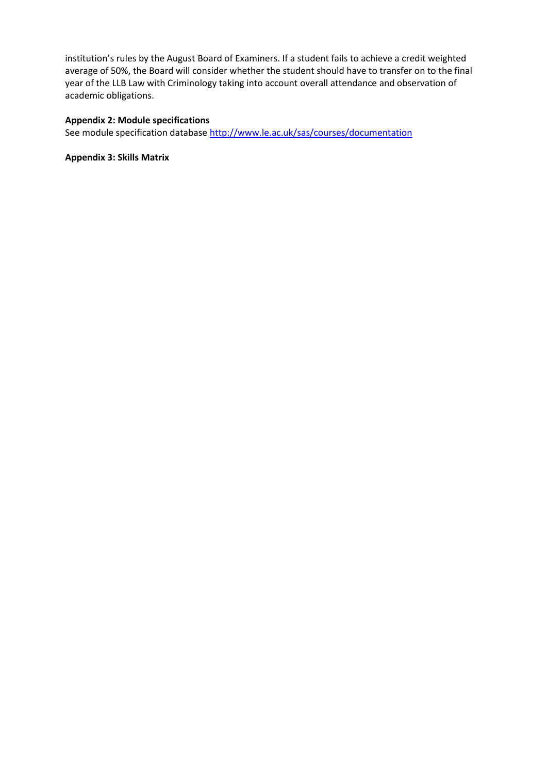institution's rules by the August Board of Examiners. If a student fails to achieve a credit weighted average of 50%, the Board will consider whether the student should have to transfer on to the final year of the LLB Law with Criminology taking into account overall attendance and observation of academic obligations.

# **Appendix 2: Module specifications**

See module specification database <http://www.le.ac.uk/sas/courses/documentation>

**Appendix 3: Skills Matrix**